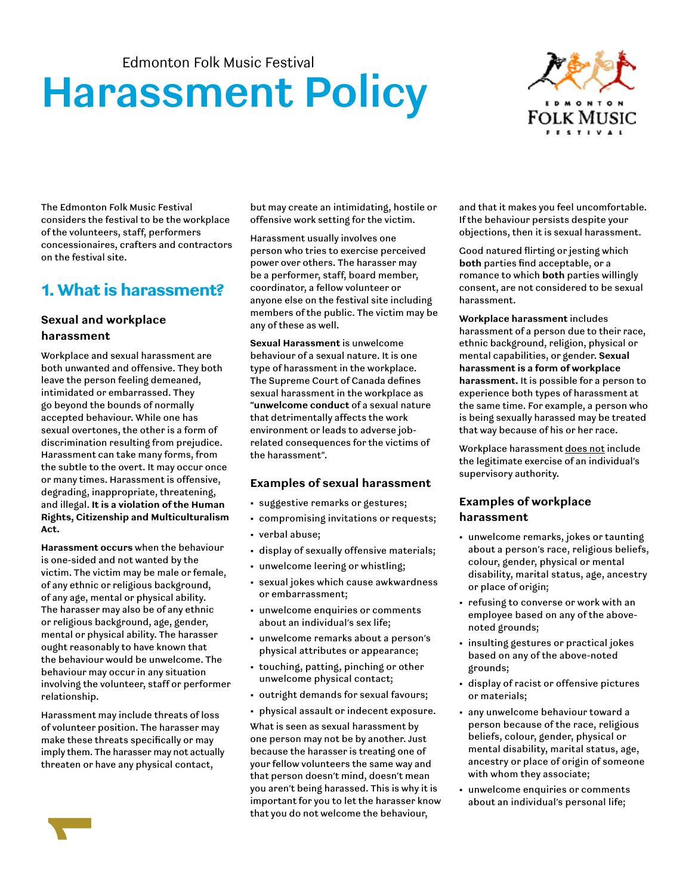# **Harassment Policy**



The Edmonton Folk Music Festival considers the festival to be the workplace of the volunteers, staff, performers concessionaires, crafters and contractors on the festival site.

## 1. What is harassment?

#### **Sexual and workplace harassment**

Workplace and sexual harassment are both unwanted and offensive. They both leave the person feeling demeaned, intimidated or embarrassed. They go beyond the bounds of normally accepted behaviour. While one has sexual overtones, the other is a form of discrimination resulting from prejudice. Harassment can take many forms, from the subtle to the overt. It may occur once or many times. Harassment is offensive, degrading, inappropriate, threatening, and illegal. **It is a violation of the Human Rights, Citizenship and Multiculturalism Act.**

**Harassment occurs** when the behaviour is one-sided and not wanted by the victim. The victim may be male or female, of any ethnic or religious background, of any age, mental or physical ability. The harasser may also be of any ethnic or religious background, age, gender, mental or physical ability. The harasser ought reasonably to have known that the behaviour would be unwelcome. The behaviour may occur in any situation involving the volunteer, staff or performer relationship.

Harassment may include threats of loss of volunteer position. The harasser may make these threats specifically or may imply them. The harasser may not actually threaten or have any physical contact,

**1200** 

but may create an intimidating, hostile or offensive work setting for the victim.

Harassment usually involves one person who tries to exercise perceived power over others. The harasser may be a performer, staff, board member, coordinator, a fellow volunteer or anyone else on the festival site including members of the public. The victim may be any of these as well.

**Sexual Harassment** is unwelcome behaviour of a sexual nature. It is one type of harassment in the workplace. The Supreme Court of Canada defines sexual harassment in the workplace as **"unwelcome conduct** of a sexual nature that detrimentally affects the work environment or leads to adverse jobrelated consequences for the victims of the harassment".

#### **Examples of sexual harassment**

- suggestive remarks or gestures;
- compromising invitations or requests;
- verbal abuse;
- display of sexually offensive materials;
- unwelcome leering or whistling;
- sexual jokes which cause awkwardness or embarrassment;
- unwelcome enquiries or comments about an individual's sex life;
- unwelcome remarks about a person's physical attributes or appearance;
- touching, patting, pinching or other unwelcome physical contact;
- outright demands for sexual favours;
- physical assault or indecent exposure.

What is seen as sexual harassment by one person may not be by another. Just because the harasser is treating one of your fellow volunteers the same way and that person doesn't mind, doesn't mean you aren't being harassed. This is why it is important for you to let the harasser know that you do not welcome the behaviour,

and that it makes you feel uncomfortable. If the behaviour persists despite your objections, then it is sexual harassment.

Good natured flirting or jesting which **both** parties find acceptable, or a romance to which **both** parties willingly consent, are not considered to be sexual harassment.

**Workplace harassment** includes harassment of a person due to their race, ethnic background, religion, physical or mental capabilities, or gender. **Sexual harassment is a form of workplace harassment.** It is possible for a person to experience both types of harassment at the same time. For example, a person who is being sexually harassed may be treated that way because of his or her race.

Workplace harassment does not include the legitimate exercise of an individual's supervisory authority.

#### **Examples of workplace harassment**

- unwelcome remarks, jokes or taunting about a person's race, religious beliefs, colour, gender, physical or mental disability, marital status, age, ancestry or place of origin;
- refusing to converse or work with an employee based on any of the abovenoted grounds;
- insulting gestures or practical jokes based on any of the above-noted grounds;
- display of racist or offensive pictures or materials;
- any unwelcome behaviour toward a person because of the race, religious beliefs, colour, gender, physical or mental disability, marital status, age, ancestry or place of origin of someone with whom they associate;
- unwelcome enquiries or comments about an individual's personal life;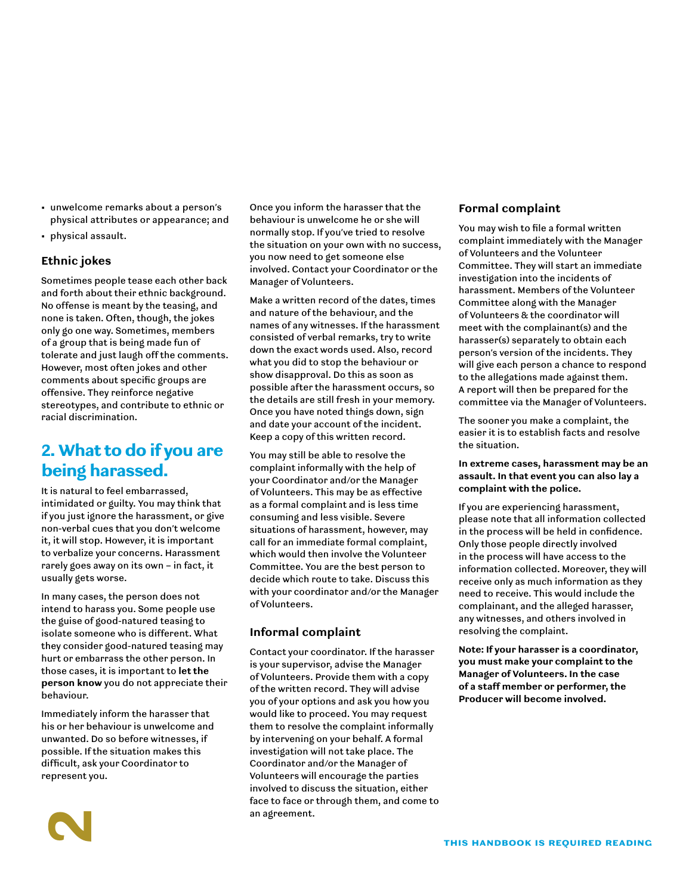- unwelcome remarks about a person's physical attributes or appearance; and
- physical assault.

## **Ethnic jokes**

Sometimes people tease each other back and forth about their ethnic background. No offense is meant by the teasing, and none is taken. Often, though, the jokes only go one way. Sometimes, members of a group that is being made fun of tolerate and just laugh off the comments. However, most often jokes and other comments about specific groups are offensive. They reinforce negative stereotypes, and contribute to ethnic or racial discrimination.

## 2. What to do if you are being harassed.

It is natural to feel embarrassed, intimidated or guilty. You may think that if you just ignore the harassment, or give non-verbal cues that you don't welcome it, it will stop. However, it is important to verbalize your concerns. Harassment rarely goes away on its own – in fact, it usually gets worse.

In many cases, the person does not intend to harass you. Some people use the guise of good-natured teasing to isolate someone who is different. What they consider good-natured teasing may hurt or embarrass the other person. In those cases, it is important to **let the person know** you do not appreciate their behaviour.

Immediately inform the harasser that his or her behaviour is unwelcome and unwanted. Do so before witnesses, if possible. If the situation makes this difficult, ask your Coordinator to represent you.

2

Once you inform the harasser that the behaviour is unwelcome he or she will normally stop. If you've tried to resolve the situation on your own with no success, you now need to get someone else involved. Contact your Coordinator or the Manager of Volunteers.

Make a written record of the dates, times and nature of the behaviour, and the names of any witnesses. If the harassment consisted of verbal remarks, try to write down the exact words used. Also, record what you did to stop the behaviour or show disapproval. Do this as soon as possible after the harassment occurs, so the details are still fresh in your memory. Once you have noted things down, sign and date your account of the incident. Keep a copy of this written record.

You may still be able to resolve the complaint informally with the help of your Coordinator and/or the Manager of Volunteers. This may be as effective as a formal complaint and is less time consuming and less visible. Severe situations of harassment, however, may call for an immediate formal complaint, which would then involve the Volunteer Committee. You are the best person to decide which route to take. Discuss this with your coordinator and/or the Manager of Volunteers.

## **Informal complaint**

Contact your coordinator. If the harasser is your supervisor, advise the Manager of Volunteers. Provide them with a copy of the written record. They will advise you of your options and ask you how you would like to proceed. You may request them to resolve the complaint informally by intervening on your behalf. A formal investigation will not take place. The Coordinator and/or the Manager of Volunteers will encourage the parties involved to discuss the situation, either face to face or through them, and come to an agreement.

#### **Formal complaint**

You may wish to file a formal written complaint immediately with the Manager of Volunteers and the Volunteer Committee. They will start an immediate investigation into the incidents of harassment. Members of the Volunteer Committee along with the Manager of Volunteers & the coordinator will meet with the complainant(s) and the harasser(s) separately to obtain each person's version of the incidents. They will give each person a chance to respond to the allegations made against them. A report will then be prepared for the committee via the Manager of Volunteers.

The sooner you make a complaint, the easier it is to establish facts and resolve the situation.

**In extreme cases, harassment may be an assault. In that event you can also lay a complaint with the police.** 

If you are experiencing harassment, please note that all information collected in the process will be held in confidence. Only those people directly involved in the process will have access to the information collected. Moreover, they will receive only as much information as they need to receive. This would include the complainant, and the alleged harasser, any witnesses, and others involved in resolving the complaint.

**Note: If your harasser is a coordinator, you must make your complaint to the Manager of Volunteers. In the case of a staff member or performer, the Producer will become involved.**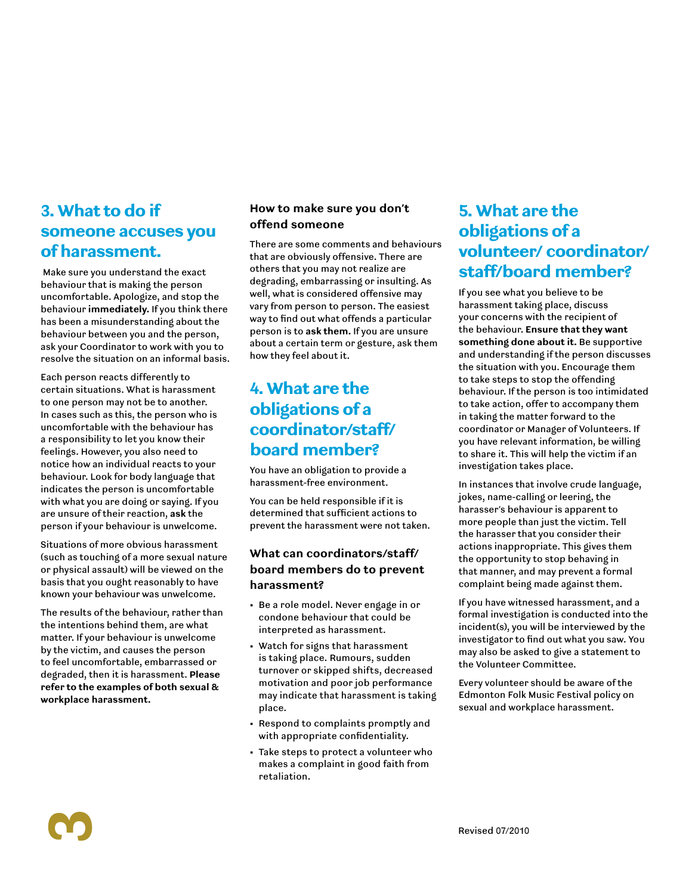## 3. What to do if someone accuses you of harassment.

 Make sure you understand the exact behaviour that is making the person uncomfortable. Apologize, and stop the behaviour **immediately.** If you think there has been a misunderstanding about the behaviour between you and the person, ask your Coordinator to work with you to resolve the situation on an informal basis.

Each person reacts differently to certain situations. What is harassment to one person may not be to another. In cases such as this, the person who is uncomfortable with the behaviour has a responsibility to let you know their feelings. However, you also need to notice how an individual reacts to your behaviour. Look for body language that indicates the person is uncomfortable with what you are doing or saying. If you are unsure of their reaction, **ask** the person if your behaviour is unwelcome.

Situations of more obvious harassment (such as touching of a more sexual nature or physical assault) will be viewed on the basis that you ought reasonably to have known your behaviour was unwelcome.

The results of the behaviour, rather than the intentions behind them, are what matter. If your behaviour is unwelcome by the victim, and causes the person to feel uncomfortable, embarrassed or degraded, then it is harassment. **Please refer to the examples of both sexual & workplace harassment.**

## **How to make sure you don't offend someone**

There are some comments and behaviours that are obviously offensive. There are others that you may not realize are degrading, embarrassing or insulting. As well, what is considered offensive may vary from person to person. The easiest way to find out what offends a particular person is to **ask them.** If you are unsure about a certain term or gesture, ask them how they feel about it.

## 4. What are the obligations of a coordinator/staff/ board member?

You have an obligation to provide a harassment-free environment.

You can be held responsible if it is determined that sufficient actions to prevent the harassment were not taken.

## **What can coordinators/staff/ board members do to prevent harassment?**

- Be a role model. Never engage in or condone behaviour that could be interpreted as harassment.
- Watch for signs that harassment is taking place. Rumours, sudden turnover or skipped shifts, decreased motivation and poor job performance may indicate that harassment is taking place.
- Respond to complaints promptly and with appropriate confidentiality.
- Take steps to protect a volunteer who makes a complaint in good faith from retaliation.

## 5. What are the obligations of a volunteer/ coordinator/ staff/board member?

If you see what you believe to be harassment taking place, discuss your concerns with the recipient of the behaviour. **Ensure that they want something done about it.** Be supportive and understanding if the person discusses the situation with you. Encourage them to take steps to stop the offending behaviour. If the person is too intimidated to take action, offer to accompany them in taking the matter forward to the coordinator or Manager of Volunteers. If you have relevant information, be willing to share it. This will help the victim if an investigation takes place.

In instances that involve crude language, jokes, name-calling or leering, the harasser's behaviour is apparent to more people than just the victim. Tell the harasser that you consider their actions inappropriate. This gives them the opportunity to stop behaving in that manner, and may prevent a formal complaint being made against them.

If you have witnessed harassment, and a formal investigation is conducted into the incident(s), you will be interviewed by the investigator to find out what you saw. You may also be asked to give a statement to the Volunteer Committee.

Every volunteer should be aware of the Edmonton Folk Music Festival policy on sexual and workplace harassment.